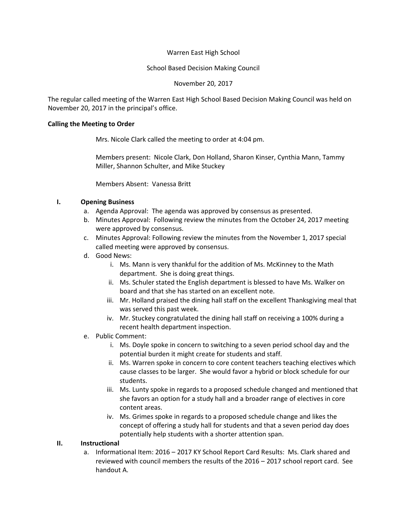## Warren East High School

## School Based Decision Making Council

November 20, 2017

The regular called meeting of the Warren East High School Based Decision Making Council was held on November 20, 2017 in the principal's office.

#### **Calling the Meeting to Order**

Mrs. Nicole Clark called the meeting to order at 4:04 pm.

Members present: Nicole Clark, Don Holland, Sharon Kinser, Cynthia Mann, Tammy Miller, Shannon Schulter, and Mike Stuckey

Members Absent: Vanessa Britt

# **I. Opening Business**

- a. Agenda Approval: The agenda was approved by consensus as presented.
- b. Minutes Approval: Following review the minutes from the October 24, 2017 meeting were approved by consensus.
- c. Minutes Approval: Following review the minutes from the November 1, 2017 special called meeting were approved by consensus.
- d. Good News:
	- i. Ms. Mann is very thankful for the addition of Ms. McKinney to the Math department. She is doing great things.
	- ii. Ms. Schuler stated the English department is blessed to have Ms. Walker on board and that she has started on an excellent note.
	- iii. Mr. Holland praised the dining hall staff on the excellent Thanksgiving meal that was served this past week.
	- iv. Mr. Stuckey congratulated the dining hall staff on receiving a 100% during a recent health department inspection.
- e. Public Comment:
	- i. Ms. Doyle spoke in concern to switching to a seven period school day and the potential burden it might create for students and staff.
	- ii. Ms. Warren spoke in concern to core content teachers teaching electives which cause classes to be larger. She would favor a hybrid or block schedule for our students.
	- iii. Ms. Lunty spoke in regards to a proposed schedule changed and mentioned that she favors an option for a study hall and a broader range of electives in core content areas.
	- iv. Ms. Grimes spoke in regards to a proposed schedule change and likes the concept of offering a study hall for students and that a seven period day does potentially help students with a shorter attention span.

## **II. Instructional**

a. Informational Item: 2016 – 2017 KY School Report Card Results: Ms. Clark shared and reviewed with council members the results of the 2016 – 2017 school report card. See handout A.